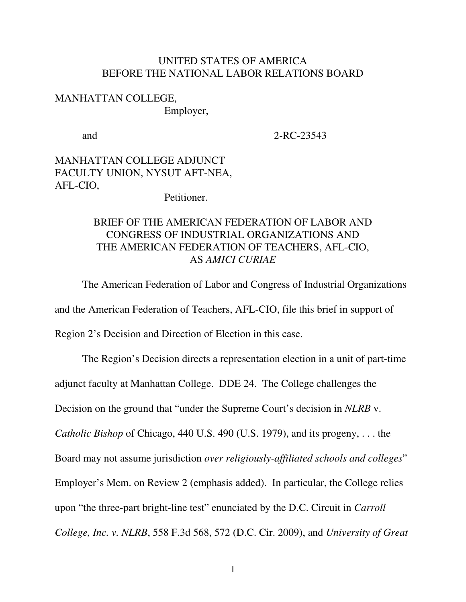## UNITED STATES OF AMERICA BEFORE THE NATIONAL LABOR RELATIONS BOARD

## MANHATTAN COLLEGE, Employer,

and 2-RC-23543

## MANHATTAN COLLEGE ADJUNCT FACULTY UNION, NYSUT AFT-NEA, AFL-CIO,

Petitioner.

## BRIEF OF THE AMERICAN FEDERATION OF LABOR AND CONGRESS OF INDUSTRIAL ORGANIZATIONS AND THE AMERICAN FEDERATION OF TEACHERS, AFL-CIO, AS *AMICI CURIAE*

The American Federation of Labor and Congress of Industrial Organizations and the American Federation of Teachers, AFL-CIO, file this brief in support of Region 2's Decision and Direction of Election in this case.

The Region's Decision directs a representation election in a unit of part-time adjunct faculty at Manhattan College. DDE 24. The College challenges the Decision on the ground that "under the Supreme Court's decision in *NLRB* v. *Catholic Bishop* of Chicago, 440 U.S. 490 (U.S. 1979), and its progeny, . . . the Board may not assume jurisdiction *over religiously-affiliated schools and colleges*" Employer's Mem. on Review 2 (emphasis added). In particular, the College relies upon "the three-part bright-line test" enunciated by the D.C. Circuit in *Carroll College, Inc. v. NLRB*, 558 F.3d 568, 572 (D.C. Cir. 2009), and *University of Great*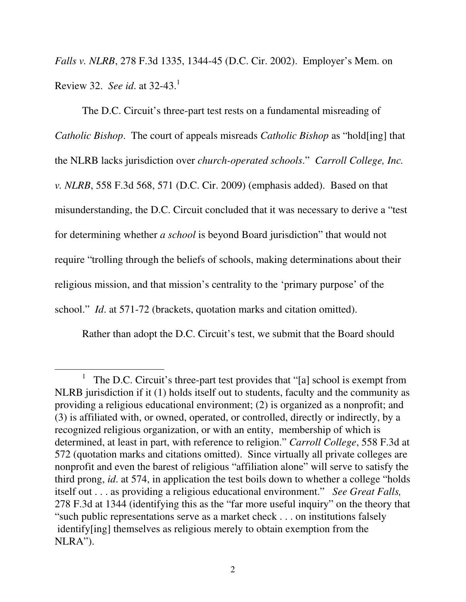*Falls v. NLRB*, 278 F.3d 1335, 1344-45 (D.C. Cir. 2002). Employer's Mem. on Review 32. *See id*. at 32-43. 1

The D.C. Circuit's three-part test rests on a fundamental misreading of *Catholic Bishop*. The court of appeals misreads *Catholic Bishop* as "hold[ing] that the NLRB lacks jurisdiction over *church-operated schools*." *Carroll College, Inc. v. NLRB*, 558 F.3d 568, 571 (D.C. Cir. 2009) (emphasis added). Based on that misunderstanding, the D.C. Circuit concluded that it was necessary to derive a "test for determining whether *a school* is beyond Board jurisdiction" that would not require "trolling through the beliefs of schools, making determinations about their religious mission, and that mission's centrality to the 'primary purpose' of the school." *Id*. at 571-72 (brackets, quotation marks and citation omitted).

Rather than adopt the D.C. Circuit's test, we submit that the Board should

<sup>1</sup> The D.C. Circuit's three-part test provides that "[a] school is exempt from NLRB jurisdiction if it (1) holds itself out to students, faculty and the community as providing a religious educational environment; (2) is organized as a nonprofit; and (3) is affiliated with, or owned, operated, or controlled, directly or indirectly, by a recognized religious organization, or with an entity, membership of which is determined, at least in part, with reference to religion." *Carroll College*, 558 F.3d at 572 (quotation marks and citations omitted). Since virtually all private colleges are nonprofit and even the barest of religious "affiliation alone" will serve to satisfy the third prong, *id*. at 574, in application the test boils down to whether a college "holds itself out . . . as providing a religious educational environment." *See Great Falls,* 278 F.3d at 1344 (identifying this as the "far more useful inquiry" on the theory that "such public representations serve as a market check . . . on institutions falsely identify[ing] themselves as religious merely to obtain exemption from the NLRA").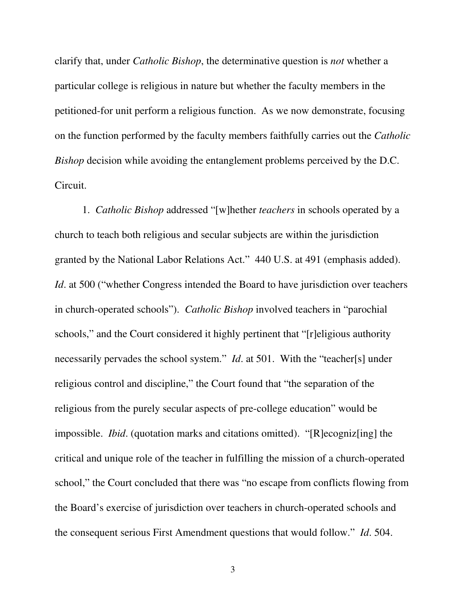clarify that, under *Catholic Bishop*, the determinative question is *not* whether a particular college is religious in nature but whether the faculty members in the petitioned-for unit perform a religious function. As we now demonstrate, focusing on the function performed by the faculty members faithfully carries out the *Catholic Bishop* decision while avoiding the entanglement problems perceived by the D.C. Circuit.

1. *Catholic Bishop* addressed "[w]hether *teachers* in schools operated by a church to teach both religious and secular subjects are within the jurisdiction granted by the National Labor Relations Act." 440 U.S. at 491 (emphasis added). *Id.* at 500 ("whether Congress intended the Board to have jurisdiction over teachers in church-operated schools"). *Catholic Bishop* involved teachers in "parochial schools," and the Court considered it highly pertinent that "[r]eligious authority necessarily pervades the school system." *Id*. at 501. With the "teacher[s] under religious control and discipline," the Court found that "the separation of the religious from the purely secular aspects of pre-college education" would be impossible. *Ibid*. (quotation marks and citations omitted). "[R]ecogniz[ing] the critical and unique role of the teacher in fulfilling the mission of a church-operated school," the Court concluded that there was "no escape from conflicts flowing from the Board's exercise of jurisdiction over teachers in church-operated schools and the consequent serious First Amendment questions that would follow." *Id*. 504.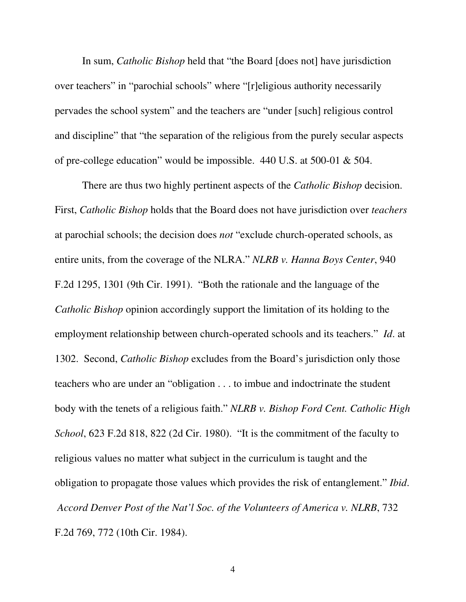In sum, *Catholic Bishop* held that "the Board [does not] have jurisdiction over teachers" in "parochial schools" where "[r]eligious authority necessarily pervades the school system" and the teachers are "under [such] religious control and discipline" that "the separation of the religious from the purely secular aspects of pre-college education" would be impossible. 440 U.S. at 500-01 & 504.

There are thus two highly pertinent aspects of the *Catholic Bishop* decision. First, *Catholic Bishop* holds that the Board does not have jurisdiction over *teachers* at parochial schools; the decision does *not* "exclude church-operated schools, as entire units, from the coverage of the NLRA." *NLRB v. Hanna Boys Center*, 940 F.2d 1295, 1301 (9th Cir. 1991). "Both the rationale and the language of the *Catholic Bishop* opinion accordingly support the limitation of its holding to the employment relationship between church-operated schools and its teachers." *Id*. at 1302. Second, *Catholic Bishop* excludes from the Board's jurisdiction only those teachers who are under an "obligation . . . to imbue and indoctrinate the student body with the tenets of a religious faith." *NLRB v. Bishop Ford Cent. Catholic High School*, 623 F.2d 818, 822 (2d Cir. 1980). "It is the commitment of the faculty to religious values no matter what subject in the curriculum is taught and the obligation to propagate those values which provides the risk of entanglement." *Ibid*. *Accord Denver Post of the Nat'l Soc. of the Volunteers of America v. NLRB*, 732 F.2d 769, 772 (10th Cir. 1984).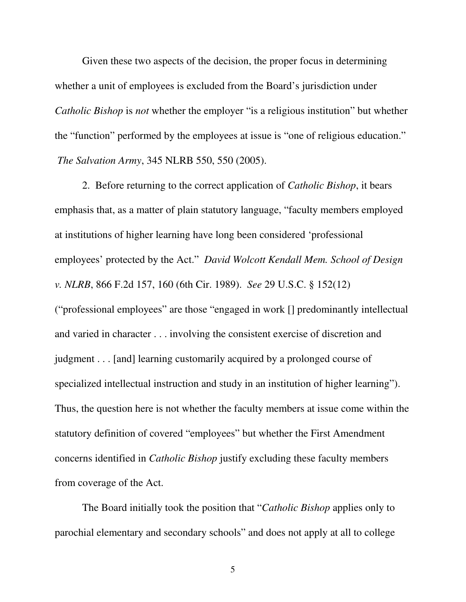Given these two aspects of the decision, the proper focus in determining whether a unit of employees is excluded from the Board's jurisdiction under *Catholic Bishop* is *not* whether the employer "is a religious institution" but whether the "function" performed by the employees at issue is "one of religious education." *The Salvation Army*, 345 NLRB 550, 550 (2005).

2. Before returning to the correct application of *Catholic Bishop*, it bears emphasis that, as a matter of plain statutory language, "faculty members employed at institutions of higher learning have long been considered 'professional employees' protected by the Act." *David Wolcott Kendall Mem. School of Design v. NLRB*, 866 F.2d 157, 160 (6th Cir. 1989). *See* 29 U.S.C. § 152(12) ("professional employees" are those "engaged in work [] predominantly intellectual and varied in character . . . involving the consistent exercise of discretion and judgment . . . [and] learning customarily acquired by a prolonged course of specialized intellectual instruction and study in an institution of higher learning"). Thus, the question here is not whether the faculty members at issue come within the statutory definition of covered "employees" but whether the First Amendment concerns identified in *Catholic Bishop* justify excluding these faculty members from coverage of the Act.

The Board initially took the position that "*Catholic Bishop* applies only to parochial elementary and secondary schools" and does not apply at all to college

5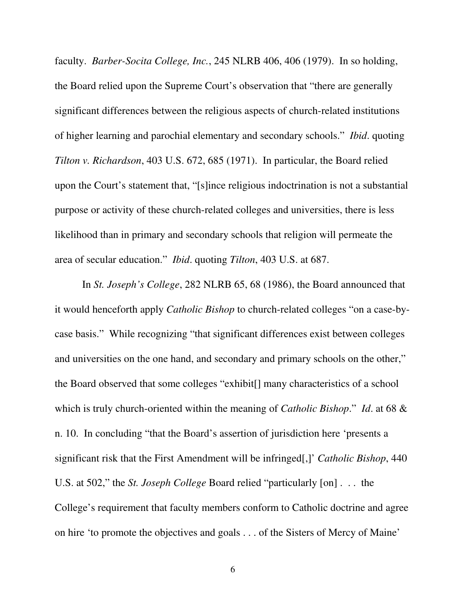faculty. *Barber-Socita College, Inc.*, 245 NLRB 406, 406 (1979). In so holding, the Board relied upon the Supreme Court's observation that "there are generally significant differences between the religious aspects of church-related institutions of higher learning and parochial elementary and secondary schools." *Ibid*. quoting *Tilton v. Richardson*, 403 U.S. 672, 685 (1971). In particular, the Board relied upon the Court's statement that, "[s]ince religious indoctrination is not a substantial purpose or activity of these church-related colleges and universities, there is less likelihood than in primary and secondary schools that religion will permeate the area of secular education." *Ibid*. quoting *Tilton*, 403 U.S. at 687.

In *St. Joseph's College*, 282 NLRB 65, 68 (1986), the Board announced that it would henceforth apply *Catholic Bishop* to church-related colleges "on a case-bycase basis." While recognizing "that significant differences exist between colleges and universities on the one hand, and secondary and primary schools on the other," the Board observed that some colleges "exhibit[] many characteristics of a school which is truly church-oriented within the meaning of *Catholic Bishop*." *Id*. at 68 & n. 10. In concluding "that the Board's assertion of jurisdiction here 'presents a significant risk that the First Amendment will be infringed[,]' *Catholic Bishop*, 440 U.S. at 502," the *St. Joseph College* Board relied "particularly [on] . . . the College's requirement that faculty members conform to Catholic doctrine and agree on hire 'to promote the objectives and goals . . . of the Sisters of Mercy of Maine'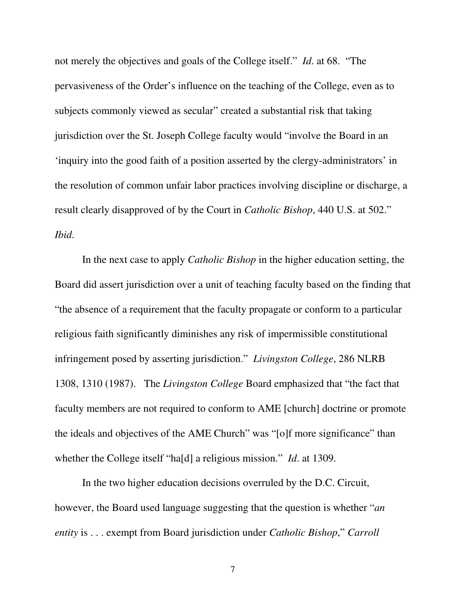not merely the objectives and goals of the College itself." *Id*. at 68. "The pervasiveness of the Order's influence on the teaching of the College, even as to subjects commonly viewed as secular" created a substantial risk that taking jurisdiction over the St. Joseph College faculty would "involve the Board in an 'inquiry into the good faith of a position asserted by the clergy-administrators' in the resolution of common unfair labor practices involving discipline or discharge, a result clearly disapproved of by the Court in *Catholic Bishop*, 440 U.S. at 502." *Ibid*.

In the next case to apply *Catholic Bishop* in the higher education setting, the Board did assert jurisdiction over a unit of teaching faculty based on the finding that "the absence of a requirement that the faculty propagate or conform to a particular religious faith significantly diminishes any risk of impermissible constitutional infringement posed by asserting jurisdiction." *Livingston College*, 286 NLRB 1308, 1310 (1987). The *Livingston College* Board emphasized that "the fact that faculty members are not required to conform to AME [church] doctrine or promote the ideals and objectives of the AME Church" was "[o]f more significance" than whether the College itself "ha[d] a religious mission." *Id*. at 1309.

In the two higher education decisions overruled by the D.C. Circuit, however, the Board used language suggesting that the question is whether "*an entity* is . . . exempt from Board jurisdiction under *Catholic Bishop*," *Carroll*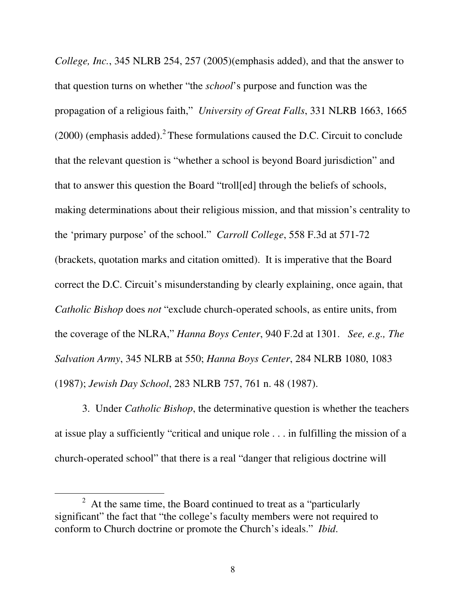*College, Inc.*, 345 NLRB 254, 257 (2005)(emphasis added), and that the answer to that question turns on whether "the *school*'s purpose and function was the propagation of a religious faith," *University of Great Falls*, 331 NLRB 1663, 1665  $(2000)$  (emphasis added).<sup>2</sup> These formulations caused the D.C. Circuit to conclude that the relevant question is "whether a school is beyond Board jurisdiction" and that to answer this question the Board "troll[ed] through the beliefs of schools, making determinations about their religious mission, and that mission's centrality to the 'primary purpose' of the school." *Carroll College*, 558 F.3d at 571-72 (brackets, quotation marks and citation omitted). It is imperative that the Board correct the D.C. Circuit's misunderstanding by clearly explaining, once again, that *Catholic Bishop* does *not* "exclude church-operated schools, as entire units, from the coverage of the NLRA," *Hanna Boys Center*, 940 F.2d at 1301. *See, e.g., The Salvation Army*, 345 NLRB at 550; *Hanna Boys Center*, 284 NLRB 1080, 1083 (1987); *Jewish Day School*, 283 NLRB 757, 761 n. 48 (1987).

3. Under *Catholic Bishop*, the determinative question is whether the teachers at issue play a sufficiently "critical and unique role . . . in fulfilling the mission of a church-operated school" that there is a real "danger that religious doctrine will

 $2<sup>2</sup>$  At the same time, the Board continued to treat as a "particularly" significant" the fact that "the college's faculty members were not required to conform to Church doctrine or promote the Church's ideals." *Ibid*.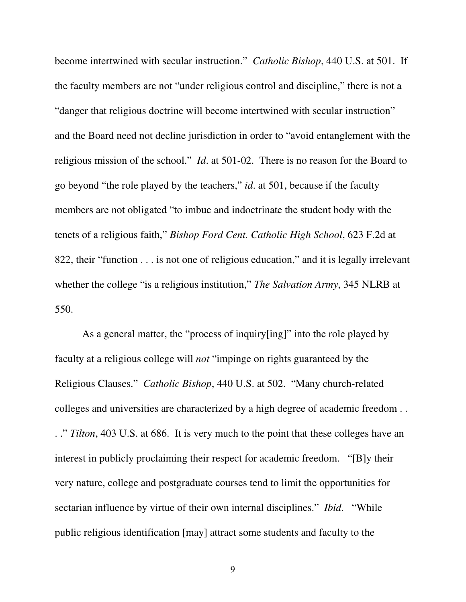become intertwined with secular instruction." *Catholic Bishop*, 440 U.S. at 501. If the faculty members are not "under religious control and discipline," there is not a "danger that religious doctrine will become intertwined with secular instruction" and the Board need not decline jurisdiction in order to "avoid entanglement with the religious mission of the school." *Id*. at 501-02. There is no reason for the Board to go beyond "the role played by the teachers," *id*. at 501, because if the faculty members are not obligated "to imbue and indoctrinate the student body with the tenets of a religious faith," *Bishop Ford Cent. Catholic High School*, 623 F.2d at 822, their "function . . . is not one of religious education," and it is legally irrelevant whether the college "is a religious institution," *The Salvation Army*, 345 NLRB at 550.

As a general matter, the "process of inquiry[ing]" into the role played by faculty at a religious college will *not* "impinge on rights guaranteed by the Religious Clauses." *Catholic Bishop*, 440 U.S. at 502. "Many church-related colleges and universities are characterized by a high degree of academic freedom . . . ." *Tilton*, 403 U.S. at 686. It is very much to the point that these colleges have an interest in publicly proclaiming their respect for academic freedom. "[B]y their very nature, college and postgraduate courses tend to limit the opportunities for sectarian influence by virtue of their own internal disciplines." *Ibid*. "While public religious identification [may] attract some students and faculty to the

9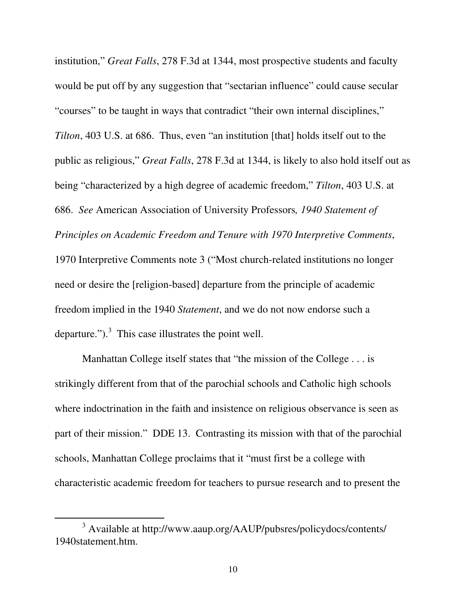institution," *Great Falls*, 278 F.3d at 1344, most prospective students and faculty would be put off by any suggestion that "sectarian influence" could cause secular "courses" to be taught in ways that contradict "their own internal disciplines," *Tilton*, 403 U.S. at 686. Thus, even "an institution [that] holds itself out to the public as religious," *Great Falls*, 278 F.3d at 1344, is likely to also hold itself out as being "characterized by a high degree of academic freedom," *Tilton*, 403 U.S. at 686. *See* American Association of University Professors*, 1940 Statement of Principles on Academic Freedom and Tenure with 1970 Interpretive Comments*, 1970 Interpretive Comments note 3 ("Most church-related institutions no longer need or desire the [religion-based] departure from the principle of academic freedom implied in the 1940 *Statement*, and we do not now endorse such a departure." $\cdot$ .<sup>3</sup> This case illustrates the point well.

Manhattan College itself states that "the mission of the College . . . is strikingly different from that of the parochial schools and Catholic high schools where indoctrination in the faith and insistence on religious observance is seen as part of their mission." DDE 13. Contrasting its mission with that of the parochial schools, Manhattan College proclaims that it "must first be a college with characteristic academic freedom for teachers to pursue research and to present the

<sup>3</sup> Available at http://www.aaup.org/AAUP/pubsres/policydocs/contents/ 1940statement.htm.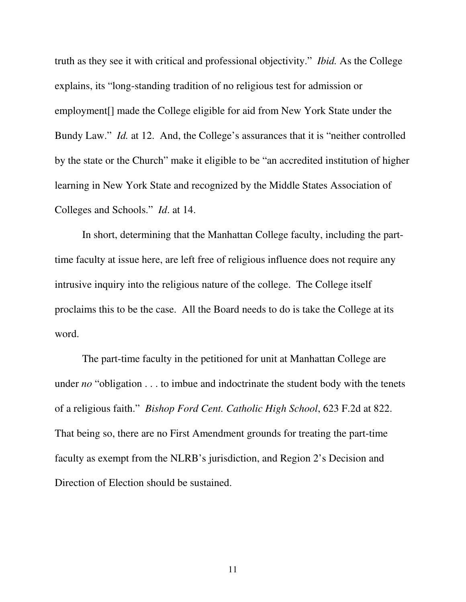truth as they see it with critical and professional objectivity." *Ibid.* As the College explains, its "long-standing tradition of no religious test for admission or employment[] made the College eligible for aid from New York State under the Bundy Law." *Id.* at 12. And, the College's assurances that it is "neither controlled by the state or the Church" make it eligible to be "an accredited institution of higher learning in New York State and recognized by the Middle States Association of Colleges and Schools." *Id*. at 14.

In short, determining that the Manhattan College faculty, including the parttime faculty at issue here, are left free of religious influence does not require any intrusive inquiry into the religious nature of the college. The College itself proclaims this to be the case. All the Board needs to do is take the College at its word.

The part-time faculty in the petitioned for unit at Manhattan College are under *no* "obligation . . . to imbue and indoctrinate the student body with the tenets of a religious faith." *Bishop Ford Cent. Catholic High School*, 623 F.2d at 822. That being so, there are no First Amendment grounds for treating the part-time faculty as exempt from the NLRB's jurisdiction, and Region 2's Decision and Direction of Election should be sustained.

11